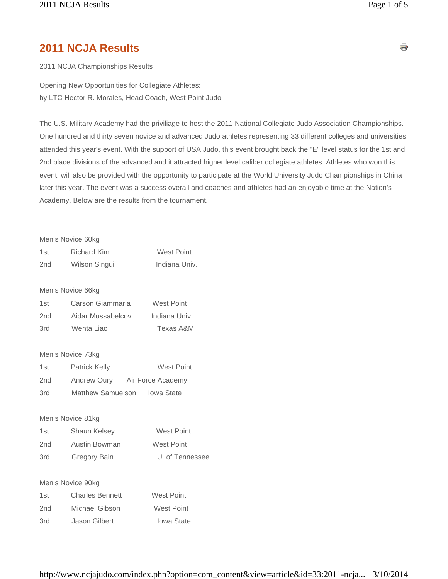# **2011 NCJA Results**

2011 NCJA Championships Results

Opening New Opportunities for Collegiate Athletes: by LTC Hector R. Morales, Head Coach, West Point Judo

The U.S. Military Academy had the priviliage to host the 2011 National Collegiate Judo Association Championships. One hundred and thirty seven novice and advanced Judo athletes representing 33 different colleges and universities attended this year's event. With the support of USA Judo, this event brought back the "E" level status for the 1st and 2nd place divisions of the advanced and it attracted higher level caliber collegiate athletes. Athletes who won this event, will also be provided with the opportunity to participate at the World University Judo Championships in China later this year. The event was a success overall and coaches and athletes had an enjoyable time at the Nation's Academy. Below are the results from the tournament.

|                 | Men's Novice 60kg |               |
|-----------------|-------------------|---------------|
| 1st             | Richard Kim       | West Point    |
| 2 <sub>nd</sub> | Wilson Singui     | Indiana Univ. |

#### Men's Novice 66kg

| 1st | Carson Giammaria  | <b>West Point</b> |
|-----|-------------------|-------------------|
| 2nd | Aidar Mussabelcov | Indiana Univ.     |
| 3rd | Wenta Liao        | Texas A&M         |

#### Men's Novice 73kg

| 1st             | Patrick Kelly     | <b>West Point</b> |
|-----------------|-------------------|-------------------|
| 2 <sub>nd</sub> | Andrew Oury       | Air Force Academy |
| 3rd             | Matthew Samuelson | Iowa State        |

#### Men's Novice 81kg

| 1st | Shaun Kelsey  | West Point      |
|-----|---------------|-----------------|
| 2nd | Austin Bowman | West Point      |
| 3rd | Gregory Bain  | U. of Tennessee |

#### Men's Novice 90kg

| 1st | <b>Charles Bennett</b> | West Point        |
|-----|------------------------|-------------------|
| 2nd | Michael Gibson         | <b>West Point</b> |
| 3rd | Jason Gilbert          | <b>lowa State</b> |

s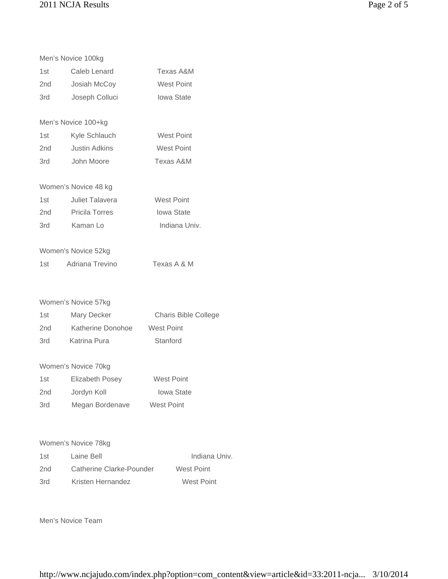|       | Men's Novice 100kg     |                      |
|-------|------------------------|----------------------|
| 1st   | Caleb Lenard           | Texas A&M            |
| 2nd   | Josiah McCoy           | West Point           |
| 3rd   | Joseph Colluci         | <b>Iowa State</b>    |
|       |                        |                      |
|       | Men's Novice 100+kg    |                      |
| 1st   | Kyle Schlauch          | <b>West Point</b>    |
| 2nd   | <b>Justin Adkins</b>   | <b>West Point</b>    |
| 3rd   | John Moore             | Texas A&M            |
|       | Women's Novice 48 kg   |                      |
| 1st   | <b>Juliet Talavera</b> | <b>West Point</b>    |
| 2nd   | <b>Pricila Torres</b>  | <b>lowa State</b>    |
| 3rd   | Kaman Lo               | Indiana Univ.        |
|       | Women's Novice 52kg    |                      |
| 1st   | Adriana Trevino        | Texas A & M          |
|       |                        |                      |
|       | Women's Novice 57kg    |                      |
| 1st   | Mary Decker            | Charis Bible College |
| 2nd   | Katherine Donohoe      | <b>West Point</b>    |
| 3rd   | Katrina Pura           | Stanford             |
|       | Women's Novice 70kg    |                      |
| 1st   | <b>Elizabeth Posey</b> | <b>West Point</b>    |
| 2nd l | Jordyn Koll            | <b>Iowa State</b>    |
| 3rd   | Megan Bordenave        | <b>West Point</b>    |
|       |                        |                      |

# Women's Novice 78kg

| 1st | Laine Bell               | Indiana Univ. |
|-----|--------------------------|---------------|
| 2nd | Catherine Clarke-Pounder | West Point    |
| 3rd | Kristen Hernandez        | West Point    |

## Men's Novice Team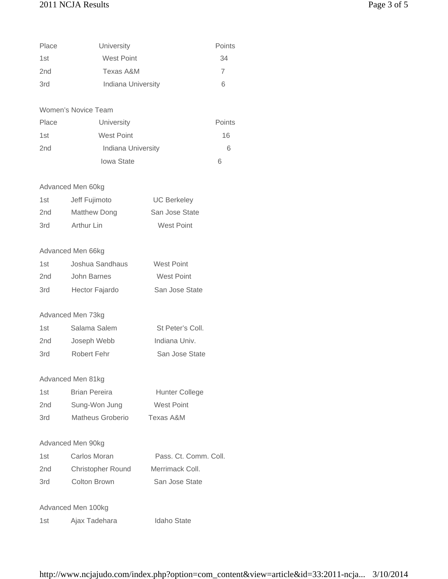# 2011 NCJA Results Page 3 of 5

| Place           | University         | Points |
|-----------------|--------------------|--------|
| 1st             | <b>West Point</b>  | 34     |
| 2 <sub>nd</sub> | Texas A&M          | 7      |
| 3rd             | Indiana University | 6      |

## Women's Novice Team

| Place | University         | Points |
|-------|--------------------|--------|
| 1st   | <b>West Point</b>  | 16     |
| 2nd   | Indiana University | 6      |
|       | <b>lowa State</b>  | 6      |

## Advanced Men 60kg

| 1st | Jeff Fujimoto | <b>UC Berkeley</b> |
|-----|---------------|--------------------|
| 2nd | Matthew Dong  | San Jose State     |
| 3rd | Arthur Lin    | West Point         |

#### Advanced Men 66kg

| 1st | Joshua Sandhaus | West Point     |
|-----|-----------------|----------------|
| 2nd | John Barnes     | West Point     |
| 3rd | Hector Fajardo  | San Jose State |

## Advanced Men 73kg

| 1st             | Salama Salem | St Peter's Coll. |
|-----------------|--------------|------------------|
| 2 <sub>nd</sub> | Joseph Webb  | Indiana Univ.    |
| 3rd             | Robert Fehr  | San Jose State   |

#### Advanced Men 81kg

| 1st             | <b>Brian Pereira</b> | Hunter College    |
|-----------------|----------------------|-------------------|
| 2 <sub>nd</sub> | Sung-Won Jung        | <b>West Point</b> |
| 3rd             | Matheus Groberio     | Texas A&M         |

## Advanced Men 90kg

| 1st | Carlos Moran             | Pass. Ct. Comm. Coll. |
|-----|--------------------------|-----------------------|
| 2nd | <b>Christopher Round</b> | Merrimack Coll.       |
| 3rd | Colton Brown             | San Jose State        |

## Advanced Men 100kg

| 1st | Ajax Tadehara | <b>Idaho State</b> |
|-----|---------------|--------------------|
|     |               |                    |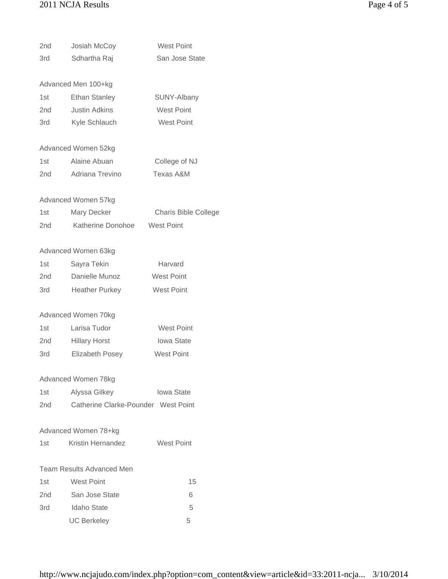# 2011 NCJA Results Page 4 of 5

| 2nd   | Josiah McCoy                        | <b>West Point</b>           |
|-------|-------------------------------------|-----------------------------|
| 3rd   | Sdhartha Raj                        | San Jose State              |
|       |                                     |                             |
|       | Advanced Men 100+kg                 |                             |
| 1st   | <b>Ethan Stanley</b>                | SUNY-Albany                 |
| 2nd   | <b>Justin Adkins</b>                | <b>West Point</b>           |
| 3rd   | Kyle Schlauch                       | West Point                  |
|       |                                     |                             |
|       | Advanced Women 52kg                 |                             |
| 1st   | Alaine Abuan                        | College of NJ               |
| 2nd - | Adriana Trevino                     | Texas A&M                   |
|       |                                     |                             |
|       | Advanced Women 57kg                 |                             |
| 1st l | Mary Decker                         | <b>Charis Bible College</b> |
| 2nd   | Katherine Donohoe                   | <b>West Point</b>           |
|       |                                     |                             |
|       | Advanced Women 63kg                 |                             |
| 1st   | Sayra Tekin                         | Harvard                     |
| 2nd   | Danielle Munoz                      | <b>West Point</b>           |
| 3rd   | <b>Heather Purkey</b>               | <b>West Point</b>           |
|       |                                     |                             |
|       | Advanced Women 70kg                 |                             |
| 1st   | Larisa Tudor                        | <b>West Point</b>           |
| 2nd l | <b>Hillary Horst</b>                | <b>Iowa State</b>           |
| 3rd   | <b>Elizabeth Posey</b>              | <b>West Point</b>           |
|       |                                     |                             |
|       | Advanced Women 78kg                 |                             |
| 1st   | Alyssa Gilkey                       | Iowa State                  |
| 2nd   | Catherine Clarke-Pounder West Point |                             |
|       | Advanced Women 78+kg                |                             |
| 1st.  | <b>Kristin Hernandez</b>            | <b>West Point</b>           |
|       |                                     |                             |
|       | <b>Team Results Advanced Men</b>    |                             |
| 1st   | <b>West Point</b>                   | 15                          |
| 2nd   | San Jose State                      | 6                           |
| 3rd - | Idaho State                         | 5                           |
|       | <b>UC Berkeley</b>                  | 5                           |